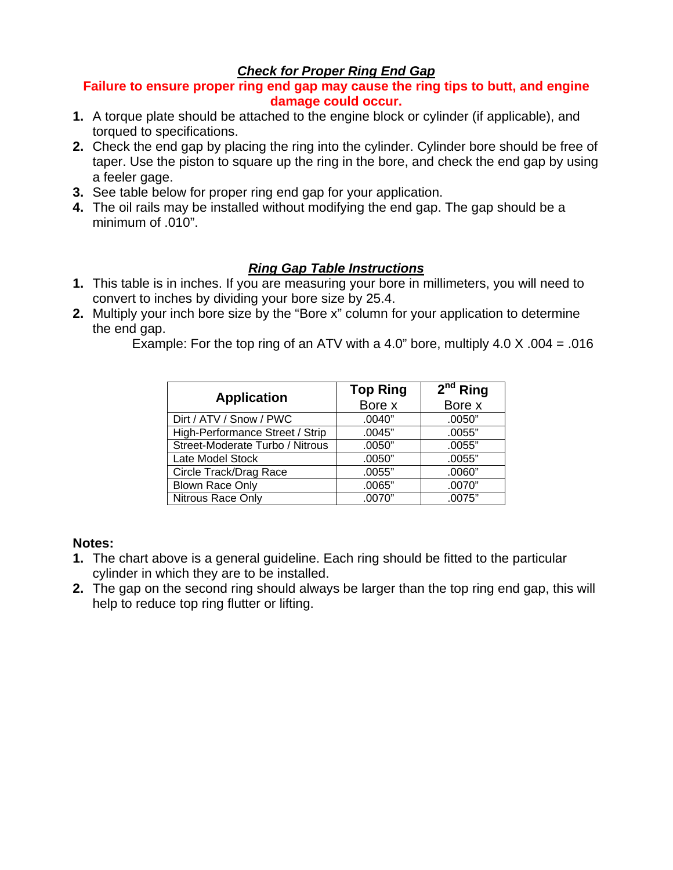# *Check for Proper Ring End Gap*

### **Failure to ensure proper ring end gap may cause the ring tips to butt, and engine damage could occur.**

- **1.** A torque plate should be attached to the engine block or cylinder (if applicable), and torqued to specifications.
- **2.** Check the end gap by placing the ring into the cylinder. Cylinder bore should be free of taper. Use the piston to square up the ring in the bore, and check the end gap by using a feeler gage.
- **3.** See table below for proper ring end gap for your application.
- **4.** The oil rails may be installed without modifying the end gap. The gap should be a minimum of .010".

# *Ring Gap Table Instructions*

- **1.** This table is in inches. If you are measuring your bore in millimeters, you will need to convert to inches by dividing your bore size by 25.4.
- **2.** Multiply your inch bore size by the "Bore x" column for your application to determine the end gap.

Example: For the top ring of an ATV with a 4.0" bore, multiply  $4.0 \times 0.004 = 0.016$ 

| <b>Application</b>              | <b>Top Ring</b> | $2^{nd}$ Ring |
|---------------------------------|-----------------|---------------|
|                                 | Bore x          | Bore x        |
| Dirt / ATV / Snow / PWC         | .0040"          | .0050"        |
| High-Performance Street / Strip | .0045"          | .0055"        |
| Street-Moderate Turbo / Nitrous | .0050"          | .0055"        |
| Late Model Stock                | .0050"          | .0055"        |
| Circle Track/Drag Race          | .0055"          | .0060"        |
| <b>Blown Race Only</b>          | .0065"          | .0070"        |
| Nitrous Race Only               | .0070"          | .0075"        |

#### **Notes:**

- **1.** The chart above is a general guideline. Each ring should be fitted to the particular cylinder in which they are to be installed.
- **2.** The gap on the second ring should always be larger than the top ring end gap, this will help to reduce top ring flutter or lifting.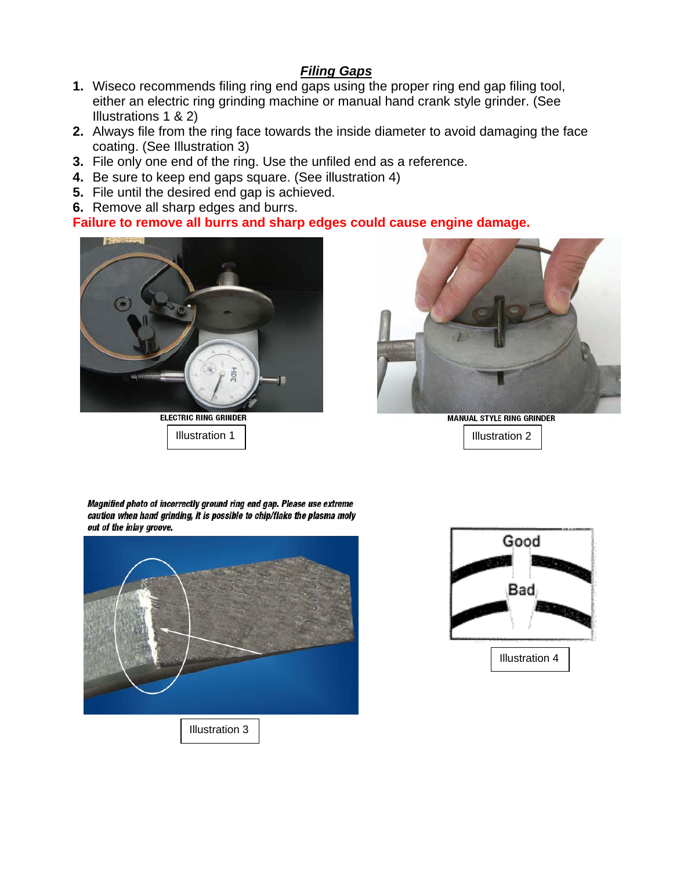# *Filing Gaps*

- **1.** Wiseco recommends filing ring end gaps using the proper ring end gap filing tool, either an electric ring grinding machine or manual hand crank style grinder. (See Illustrations 1 & 2)
- **2.** Always file from the ring face towards the inside diameter to avoid damaging the face coating. (See Illustration 3)
- **3.** File only one end of the ring. Use the unfiled end as a reference.
- **4.** Be sure to keep end gaps square. (See illustration 4)
- **5.** File until the desired end gap is achieved.
- **6.** Remove all sharp edges and burrs.

# **Failure to remove all burrs and sharp edges could cause engine damage.**



**ELECTRIC RING GRINDER** 



**MANUAL STYLE RING GRINDER** Illustration 1 Illustration 2

Magnified photo of incorrectly ground ring end gap. Please use extreme caution when hand grinding, it is possible to chip/flake the plasma moly out of the inlay groove.



Illustration 3